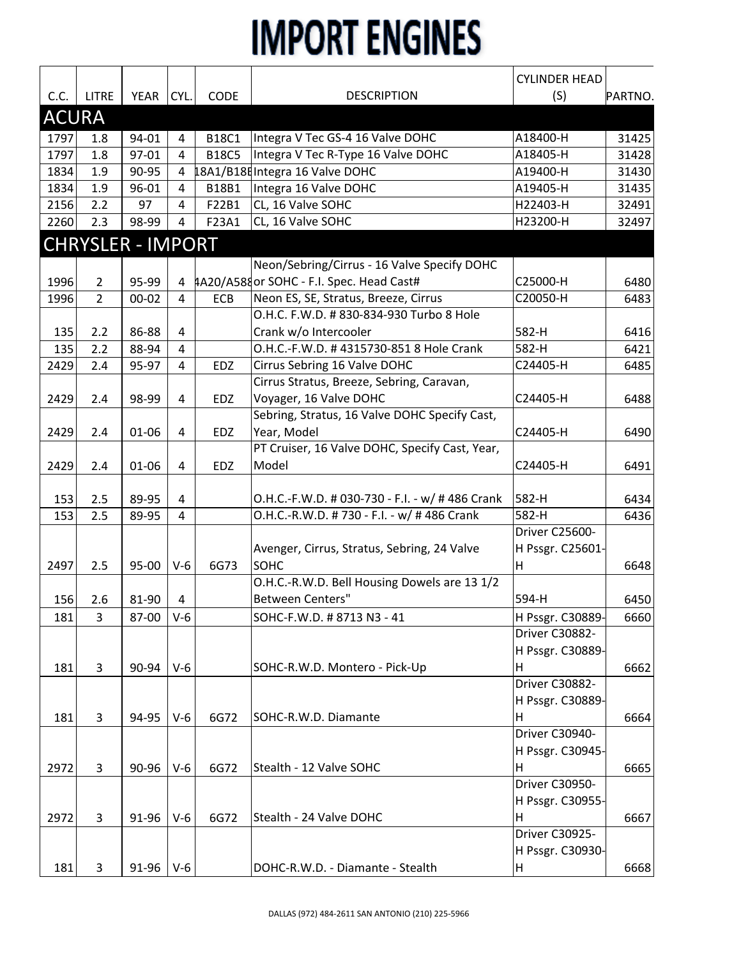|              |                |                          |                |              |                                                 | <b>CYLINDER HEAD</b> |         |
|--------------|----------------|--------------------------|----------------|--------------|-------------------------------------------------|----------------------|---------|
| C.C.         | <b>LITRE</b>   | YEAR                     | CYL.           | CODE         | <b>DESCRIPTION</b>                              | (S)                  | PARTNO. |
| <b>ACURA</b> |                |                          |                |              |                                                 |                      |         |
| 1797         | 1.8            | 94-01                    | 4              | <b>B18C1</b> | Integra V Tec GS-4 16 Valve DOHC                | A18400-H             | 31425   |
| 1797         | 1.8            | 97-01                    | 4              | <b>B18C5</b> | Integra V Tec R-Type 16 Valve DOHC              | A18405-H             | 31428   |
| 1834         | 1.9            | 90-95                    | 4              |              | 18A1/B18E Integra 16 Valve DOHC                 | A19400-H             | 31430   |
| 1834         | 1.9            | 96-01                    | 4              | B18B1        | Integra 16 Valve DOHC                           | A19405-H             | 31435   |
| 2156         | 2.2            | 97                       | 4              | F22B1        | CL, 16 Valve SOHC                               | H22403-H             | 32491   |
| 2260         | 2.3            | 98-99                    | 4              | F23A1        | CL, 16 Valve SOHC                               | H23200-H             | 32497   |
|              |                | <b>CHRYSLER - IMPORT</b> |                |              |                                                 |                      |         |
|              |                |                          |                |              | Neon/Sebring/Cirrus - 16 Valve Specify DOHC     |                      |         |
| 1996         | $\overline{2}$ | 95-99                    |                |              | 4 AA20/A588 or SOHC - F.I. Spec. Head Cast#     | C25000-H             | 6480    |
| 1996         | $\overline{2}$ | $00 - 02$                | $\overline{4}$ | ECB          | Neon ES, SE, Stratus, Breeze, Cirrus            | C20050-H             | 6483    |
|              |                |                          |                |              | O.H.C. F.W.D. # 830-834-930 Turbo 8 Hole        |                      |         |
| 135          | 2.2            | 86-88                    | 4              |              | Crank w/o Intercooler                           | 582-H                | 6416    |
| 135          | 2.2            | 88-94                    | $\overline{4}$ |              | O.H.C.-F.W.D. #4315730-851 8 Hole Crank         | 582-H                | 6421    |
| 2429         | 2.4            | 95-97                    | $\overline{4}$ | EDZ          | Cirrus Sebring 16 Valve DOHC                    | C24405-H             | 6485    |
|              |                |                          |                |              | Cirrus Stratus, Breeze, Sebring, Caravan,       |                      |         |
| 2429         | 2.4            | 98-99                    | 4              | EDZ          | Voyager, 16 Valve DOHC                          | C24405-H             | 6488    |
|              |                |                          |                |              | Sebring, Stratus, 16 Valve DOHC Specify Cast,   |                      |         |
| 2429         | 2.4            | 01-06                    | 4              | EDZ          | Year, Model                                     | C24405-H             | 6490    |
|              |                |                          |                |              | PT Cruiser, 16 Valve DOHC, Specify Cast, Year,  |                      |         |
| 2429         | 2.4            | 01-06                    | 4              | <b>EDZ</b>   | Model                                           | C24405-H             | 6491    |
|              |                |                          |                |              |                                                 |                      |         |
| 153          | 2.5            | 89-95                    | 4              |              | O.H.C.-F.W.D. # 030-730 - F.I. - w/ # 486 Crank | 582-H                | 6434    |
| 153          | 2.5            | 89-95                    | $\overline{4}$ |              | O.H.C.-R.W.D. #730 - F.I. - w/ #486 Crank       | 582-H                | 6436    |
|              |                |                          |                |              |                                                 | Driver C25600-       |         |
|              |                |                          |                |              | Avenger, Cirrus, Stratus, Sebring, 24 Valve     | H Pssgr. C25601-     |         |
| 2497         | 2.5            | 95-00                    | $V-6$          | 6G73         | <b>SOHC</b>                                     | H                    | 6648    |
|              |                |                          |                |              | O.H.C.-R.W.D. Bell Housing Dowels are 13 1/2    |                      |         |
| 156          | 2.6            | 81-90                    | 4              |              | Between Centers"                                | 594-H                | 6450    |
| 181          | $\overline{3}$ | 87-00                    | $V-6$          |              | SOHC-F.W.D. # 8713 N3 - 41                      | H Pssgr. C30889-     | 6660    |
|              |                |                          |                |              |                                                 | Driver C30882-       |         |
|              |                |                          |                |              |                                                 | H Pssgr. C30889-     |         |
| 181          | 3              | 90-94                    | $V-6$          |              | SOHC-R.W.D. Montero - Pick-Up                   | н                    | 6662    |
|              |                |                          |                |              |                                                 | Driver C30882-       |         |
|              |                |                          |                |              |                                                 | H Pssgr. C30889-     |         |
| 181          | 3              | 94-95                    | $V-6$          | 6G72         | SOHC-R.W.D. Diamante                            | H                    | 6664    |
|              |                |                          |                |              |                                                 | Driver C30940-       |         |
|              |                |                          |                |              |                                                 | H Pssgr. C30945-     |         |
| 2972         | 3              | 90-96                    | $V-6$          | 6G72         | Stealth - 12 Valve SOHC                         | н                    | 6665    |
|              |                |                          |                |              |                                                 | Driver C30950-       |         |
|              |                |                          |                |              |                                                 | H Pssgr. C30955-     |         |
| 2972         | 3              | 91-96                    | $V-6$          | 6G72         | Stealth - 24 Valve DOHC                         | H                    | 6667    |
|              |                |                          |                |              |                                                 | Driver C30925-       |         |
|              |                |                          |                |              |                                                 | H Pssgr. C30930-     |         |
| 181          | 3              | 91-96                    | $V-6$          |              | DOHC-R.W.D. - Diamante - Stealth                | H                    | 6668    |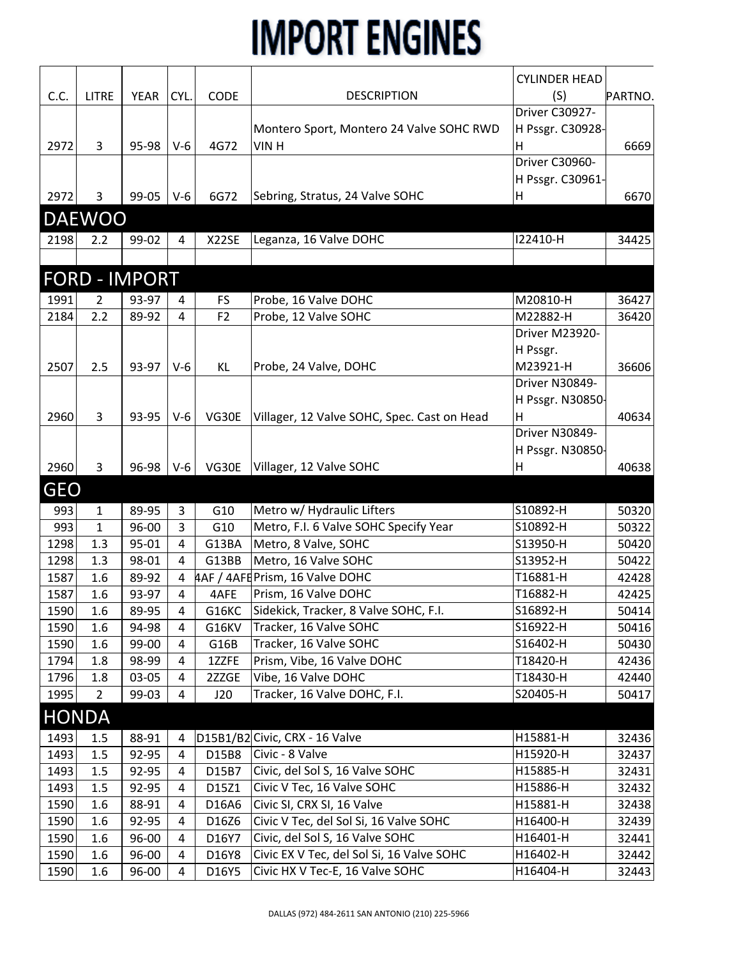|              |                |                      |                |                |                                             | <b>CYLINDER HEAD</b> |         |
|--------------|----------------|----------------------|----------------|----------------|---------------------------------------------|----------------------|---------|
| C.C.         | <b>LITRE</b>   | YEAR                 | CYL.           | CODE           | <b>DESCRIPTION</b>                          | (S)                  | PARTNO. |
|              |                |                      |                |                |                                             | Driver C30927-       |         |
|              |                |                      |                |                | Montero Sport, Montero 24 Valve SOHC RWD    | H Pssgr. C30928-     |         |
| 2972         | 3              | 95-98                | $V-6$          | 4G72           | VIN H                                       | Η                    | 6669    |
|              |                |                      |                |                |                                             | Driver C30960-       |         |
|              |                |                      |                |                |                                             | H Pssgr. C30961-     |         |
| 2972         | 3              | 99-05                | $V-6$          | 6G72           | Sebring, Stratus, 24 Valve SOHC             | Η                    | 6670    |
|              | <b>DAEWOO</b>  |                      |                |                |                                             |                      |         |
| 2198         | 2.2            | 99-02                |                | X22SE          |                                             | 122410-H             | 34425   |
|              |                |                      | 4              |                | Leganza, 16 Valve DOHC                      |                      |         |
|              |                |                      |                |                |                                             |                      |         |
|              |                | <b>FORD - IMPORT</b> |                |                |                                             |                      |         |
| 1991         | $\overline{2}$ | 93-97                | 4              | <b>FS</b>      | Probe, 16 Valve DOHC                        | M20810-H             | 36427   |
| 2184         | 2.2            | 89-92                | 4              | F <sub>2</sub> | Probe, 12 Valve SOHC                        | M22882-H             | 36420   |
|              |                |                      |                |                |                                             | Driver M23920-       |         |
|              |                |                      |                |                |                                             | H Pssgr.             |         |
| 2507         | 2.5            | 93-97                | $V-6$          | KL             | Probe, 24 Valve, DOHC                       | M23921-H             | 36606   |
|              |                |                      |                |                |                                             | Driver N30849-       |         |
|              |                |                      |                |                |                                             | H Pssgr. N30850-     |         |
| 2960         | 3              | 93-95                | $V-6$          | VG30E          | Villager, 12 Valve SOHC, Spec. Cast on Head | н                    | 40634   |
|              |                |                      |                |                |                                             | Driver N30849-       |         |
|              |                |                      |                |                |                                             | H Pssgr. N30850-     |         |
| 2960         | 3              | 96-98                | $V-6$          | VG30E          | Villager, 12 Valve SOHC                     | н                    | 40638   |
| <b>GEO</b>   |                |                      |                |                |                                             |                      |         |
| 993          | $\mathbf{1}$   | 89-95                | 3              | G10            | Metro w/ Hydraulic Lifters                  | S10892-H             | 50320   |
| 993          | 1              | 96-00                | 3              | G10            | Metro, F.I. 6 Valve SOHC Specify Year       | S10892-H             | 50322   |
| 1298         | 1.3            | 95-01                | 4              | G13BA          | Metro, 8 Valve, SOHC                        | S13950-H             | 50420   |
| 1298         | 1.3            | 98-01                | $\overline{a}$ | G13BB          | Metro, 16 Valve SOHC                        | S13952-H             | 50422   |
| 1587         | 1.6            | 89-92                | 4              |                | 4AF / 4AFEPrism, 16 Valve DOHC              | T16881-H             | 42428   |
| 1587         | 1.6            | 93-97                | 4              | 4AFE           | Prism, 16 Valve DOHC                        | T16882-H             | 42425   |
| 1590         | $1.6\,$        | 89-95                | 4              | G16KC          | Sidekick, Tracker, 8 Valve SOHC, F.I.       | S16892-H             | 50414   |
| 1590         | 1.6            | 94-98                | 4              | G16KV          | Tracker, 16 Valve SOHC                      | S16922-H             | 50416   |
| 1590         | 1.6            | 99-00                | 4              | G16B           | Tracker, 16 Valve SOHC                      | S16402-H             | 50430   |
| 1794         | 1.8            | 98-99                | 4              | 1ZZFE          | Prism, Vibe, 16 Valve DOHC                  | T18420-H             | 42436   |
| 1796         | 1.8            | 03-05                | 4              | 2ZZGE          | Vibe, 16 Valve DOHC                         | T18430-H             | 42440   |
| 1995         | $\overline{2}$ | 99-03                | 4              | J20            | Tracker, 16 Valve DOHC, F.I.                | S20405-H             | 50417   |
| <b>HONDA</b> |                |                      |                |                |                                             |                      |         |
| 1493         | 1.5            | 88-91                | 4              |                | D15B1/B2 Civic, CRX - 16 Valve              | H15881-H             | 32436   |
| 1493         | 1.5            | 92-95                | 4              | D15B8          | Civic - 8 Valve                             | H15920-H             | 32437   |
| 1493         | 1.5            | 92-95                | 4              | D15B7          | Civic, del Sol S, 16 Valve SOHC             | H15885-H             | 32431   |
| 1493         | 1.5            | 92-95                | 4              | D15Z1          | Civic V Tec, 16 Valve SOHC                  | H15886-H             | 32432   |
| 1590         | 1.6            | 88-91                | 4              | D16A6          | Civic SI, CRX SI, 16 Valve                  | H15881-H             | 32438   |
| 1590         | 1.6            | 92-95                | 4              | D16Z6          | Civic V Tec, del Sol Si, 16 Valve SOHC      | H16400-H             | 32439   |
| 1590         | 1.6            | 96-00                | 4              | D16Y7          | Civic, del Sol S, 16 Valve SOHC             | H16401-H             | 32441   |
| 1590         | 1.6            | 96-00                | 4              | D16Y8          | Civic EX V Tec, del Sol Si, 16 Valve SOHC   | H16402-H             | 32442   |
| 1590         | 1.6            | 96-00                | 4              | D16Y5          | Civic HX V Tec-E, 16 Valve SOHC             | H16404-H             | 32443   |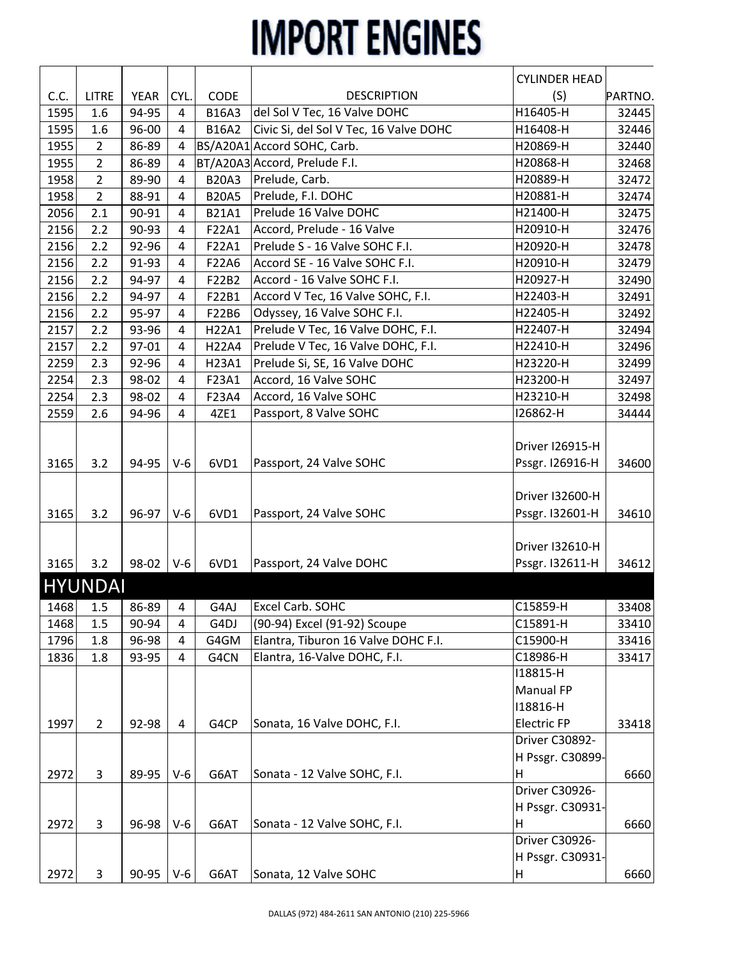|      |                |       |                |              |                                        | <b>CYLINDER HEAD</b>               |         |
|------|----------------|-------|----------------|--------------|----------------------------------------|------------------------------------|---------|
| C.C. | <b>LITRE</b>   | YEAR  | CYL.           | CODE         | <b>DESCRIPTION</b>                     | (S)                                | PARTNO. |
| 1595 | 1.6            | 94-95 | 4              | <b>B16A3</b> | del Sol V Tec, 16 Valve DOHC           | H16405-H                           | 32445   |
| 1595 | 1.6            | 96-00 | 4              | <b>B16A2</b> | Civic Si, del Sol V Tec, 16 Valve DOHC | H16408-H                           | 32446   |
| 1955 | $\overline{2}$ | 86-89 | 4              |              | BS/A20A1 Accord SOHC, Carb.            | H20869-H                           | 32440   |
| 1955 | $\overline{2}$ | 86-89 | 4              |              | BT/A20A3 Accord, Prelude F.I.          | H20868-H                           | 32468   |
| 1958 | $\overline{2}$ | 89-90 | 4              | <b>B20A3</b> | Prelude, Carb.                         | H20889-H                           | 32472   |
| 1958 | $\overline{2}$ | 88-91 | 4              | <b>B20A5</b> | Prelude, F.I. DOHC                     | H20881-H                           | 32474   |
| 2056 | 2.1            | 90-91 | 4              | <b>B21A1</b> | Prelude 16 Valve DOHC                  | H21400-H                           | 32475   |
| 2156 | 2.2            | 90-93 | 4              | F22A1        | Accord, Prelude - 16 Valve             | H20910-H                           | 32476   |
| 2156 | 2.2            | 92-96 | 4              | F22A1        | Prelude S - 16 Valve SOHC F.I.         | H20920-H                           | 32478   |
| 2156 | 2.2            | 91-93 | 4              | F22A6        | Accord SE - 16 Valve SOHC F.I.         | H20910-H                           | 32479   |
| 2156 | 2.2            | 94-97 | 4              | F22B2        | Accord - 16 Valve SOHC F.I.            | H20927-H                           | 32490   |
| 2156 | 2.2            | 94-97 | 4              | F22B1        | Accord V Tec, 16 Valve SOHC, F.I.      | H22403-H                           | 32491   |
| 2156 | 2.2            | 95-97 | 4              | F22B6        | Odyssey, 16 Valve SOHC F.I.            | H22405-H                           | 32492   |
| 2157 | 2.2            | 93-96 | 4              | H22A1        | Prelude V Tec, 16 Valve DOHC, F.I.     | H22407-H                           | 32494   |
| 2157 | 2.2            | 97-01 | 4              | H22A4        | Prelude V Tec, 16 Valve DOHC, F.I.     | H22410-H                           | 32496   |
| 2259 | 2.3            | 92-96 | 4              | H23A1        | Prelude Si, SE, 16 Valve DOHC          | H23220-H                           | 32499   |
| 2254 | 2.3            | 98-02 | 4              | F23A1        | Accord, 16 Valve SOHC                  | H23200-H                           | 32497   |
| 2254 | 2.3            | 98-02 | 4              | F23A4        | Accord, 16 Valve SOHC                  | H23210-H                           | 32498   |
| 2559 | 2.6            | 94-96 | 4              | 4ZE1         | Passport, 8 Valve SOHC                 | 126862-H                           | 34444   |
| 3165 | 3.2            | 94-95 | $V-6$          | 6VD1         | Passport, 24 Valve SOHC                | Driver I26915-H<br>Pssgr. I26916-H | 34600   |
|      |                |       |                |              |                                        |                                    |         |
|      |                |       |                |              |                                        | Driver I32600-H                    |         |
| 3165 | 3.2            | 96-97 | $V-6$          | 6VD1         | Passport, 24 Valve SOHC                | Pssgr. I32601-H                    | 34610   |
|      |                |       |                |              |                                        |                                    |         |
|      |                |       |                |              |                                        | Driver I32610-H                    |         |
| 3165 | 3.2            | 98-02 | $V-6$          | 6VD1         | Passport, 24 Valve DOHC                | Pssgr. I32611-H                    | 34612   |
|      |                |       |                |              |                                        |                                    |         |
|      | <b>HYUNDAI</b> |       |                |              |                                        |                                    |         |
| 1468 | 1.5            | 86-89 | $\overline{4}$ | G4AJ         | Excel Carb. SOHC                       | C15859-H                           | 33408   |
| 1468 | 1.5            | 90-94 | 4              | G4DJ         | (90-94) Excel (91-92) Scoupe           | C15891-H                           | 33410   |
| 1796 | 1.8            | 96-98 | 4              | G4GM         | Elantra, Tiburon 16 Valve DOHC F.I.    | C15900-H                           | 33416   |
| 1836 | 1.8            | 93-95 | 4              | G4CN         | Elantra, 16-Valve DOHC, F.I.           | C18986-H                           | 33417   |
|      |                |       |                |              |                                        | 118815-H                           |         |
|      |                |       |                |              |                                        | Manual FP                          |         |
|      |                |       |                |              |                                        | I18816-H                           |         |
| 1997 | $\overline{2}$ | 92-98 | 4              | G4CP         | Sonata, 16 Valve DOHC, F.I.            | <b>Electric FP</b>                 | 33418   |
|      |                |       |                |              |                                        | Driver C30892-                     |         |
|      |                |       |                |              |                                        | H Pssgr. C30899-                   |         |
| 2972 | 3              | 89-95 | $V-6$          | G6AT         | Sonata - 12 Valve SOHC, F.I.           | н                                  | 6660    |
|      |                |       |                |              |                                        | Driver C30926-                     |         |
|      |                |       |                |              |                                        | H Pssgr. C30931-                   |         |
| 2972 | $\overline{3}$ | 96-98 | $V-6$          | G6AT         | Sonata - 12 Valve SOHC, F.I.           | Н                                  | 6660    |
|      |                |       |                |              |                                        | Driver C30926-                     |         |
|      |                |       |                |              |                                        | H Pssgr. C30931-                   |         |
| 2972 | 3              | 90-95 | $V-6$          | G6AT         | Sonata, 12 Valve SOHC                  | H                                  | 6660    |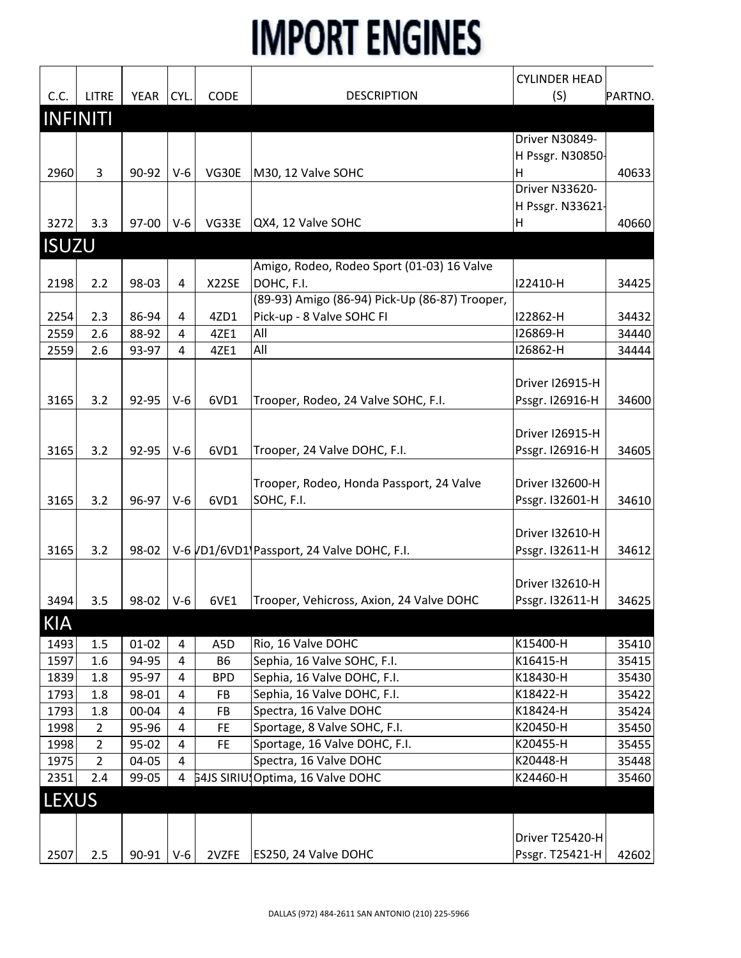|              |                 |             |                |             |                                                          | <b>CYLINDER HEAD</b>   |         |
|--------------|-----------------|-------------|----------------|-------------|----------------------------------------------------------|------------------------|---------|
| C.C.         | <b>LITRE</b>    | <b>YEAR</b> | CYL.           | <b>CODE</b> | <b>DESCRIPTION</b>                                       | (S)                    | PARTNO. |
|              | <b>INFINITI</b> |             |                |             |                                                          |                        |         |
|              |                 |             |                |             |                                                          | Driver N30849-         |         |
|              |                 |             |                |             |                                                          | H Pssgr. N30850-       |         |
| 2960         | 3               | 90-92       | $V-6$          | VG30E       | M30, 12 Valve SOHC                                       | Η                      | 40633   |
|              |                 |             |                |             |                                                          | Driver N33620-         |         |
|              |                 |             |                |             |                                                          | H Pssgr. N33621-       |         |
| 3272         | 3.3             | 97-00       | $V-6$          | VG33E       | QX4, 12 Valve SOHC                                       | н                      | 40660   |
| <b>ISUZU</b> |                 |             |                |             |                                                          |                        |         |
|              |                 |             |                |             |                                                          |                        |         |
| 2198         | 2.2             | 98-03       | 4              | X22SE       | Amigo, Rodeo, Rodeo Sport (01-03) 16 Valve<br>DOHC, F.I. | I22410-H               | 34425   |
|              |                 |             |                |             | (89-93) Amigo (86-94) Pick-Up (86-87) Trooper,           |                        |         |
| 2254         | 2.3             | 86-94       | 4              | 4ZD1        | Pick-up - 8 Valve SOHC FI                                | I22862-H               | 34432   |
| 2559         | 2.6             | 88-92       | 4              | 4ZE1        | All                                                      | I26869-H               | 34440   |
| 2559         | 2.6             | 93-97       | $\overline{4}$ | 4ZE1        | All                                                      | 126862-H               | 34444   |
|              |                 |             |                |             |                                                          |                        |         |
|              |                 |             |                |             |                                                          | Driver I26915-H        |         |
| 3165         | 3.2             | 92-95       | $V-6$          | 6VD1        | Trooper, Rodeo, 24 Valve SOHC, F.I.                      | Pssgr. I26916-H        | 34600   |
|              |                 |             |                |             |                                                          |                        |         |
|              |                 |             |                |             |                                                          | Driver I26915-H        |         |
| 3165         | 3.2             | 92-95       | $V-6$          | 6VD1        | Trooper, 24 Valve DOHC, F.I.                             | Pssgr. I26916-H        | 34605   |
|              |                 |             |                |             |                                                          |                        |         |
|              |                 |             |                |             | Trooper, Rodeo, Honda Passport, 24 Valve                 | <b>Driver I32600-H</b> |         |
| 3165         | 3.2             | 96-97       | $V-6$          | 6VD1        | SOHC, F.I.                                               | Pssgr. I32601-H        | 34610   |
|              |                 |             |                |             |                                                          |                        |         |
|              |                 |             |                |             |                                                          | Driver I32610-H        |         |
| 3165         | 3.2             | 98-02       |                |             | V-6 VD1/6VD1 Passport, 24 Valve DOHC, F.I.               | Pssgr. I32611-H        | 34612   |
|              |                 |             |                |             |                                                          |                        |         |
|              |                 |             |                |             |                                                          | Driver I32610-H        |         |
| 3494         | 3.5             | 98-02       | $V-6$          | 6VE1        | Trooper, Vehicross, Axion, 24 Valve DOHC                 | Pssgr. I32611-H        | 34625   |
| <b>KIA</b>   |                 |             |                |             |                                                          |                        |         |
| 1493         | 1.5             | $01 - 02$   | 4              | A5D         | Rio, 16 Valve DOHC                                       | K15400-H               | 35410   |
| 1597         | 1.6             | 94-95       | 4              | <b>B6</b>   | Sephia, 16 Valve SOHC, F.I.                              | K16415-H               | 35415   |
| 1839         | 1.8             | 95-97       | 4              | <b>BPD</b>  | Sephia, 16 Valve DOHC, F.I.                              | K18430-H               | 35430   |
| 1793         | 1.8             | 98-01       | 4              | FB          | Sephia, 16 Valve DOHC, F.I.                              | K18422-H               | 35422   |
| 1793         | 1.8             | 00-04       | 4              | FB          | Spectra, 16 Valve DOHC                                   | K18424-H               | 35424   |
| 1998         | $\overline{2}$  | 95-96       | $\overline{4}$ | FE.         | Sportage, 8 Valve SOHC, F.I.                             | K20450-H               | 35450   |
| 1998         | $\overline{2}$  | 95-02       | 4              | <b>FE</b>   | Sportage, 16 Valve DOHC, F.I.                            | K20455-H               | 35455   |
| 1975         | $\overline{2}$  | 04-05       | 4              |             | Spectra, 16 Valve DOHC                                   | K20448-H               | 35448   |
| 2351         | 2.4             | 99-05       | 4              |             | 54JS SIRIU: Optima, 16 Valve DOHC                        | K24460-H               | 35460   |
| <b>LEXUS</b> |                 |             |                |             |                                                          |                        |         |
|              |                 |             |                |             |                                                          |                        |         |
|              |                 |             |                |             |                                                          | Driver T25420-H        |         |
| 2507         | 2.5             | 90-91       | $V-6$          | 2VZFE       | ES250, 24 Valve DOHC                                     | Pssgr. T25421-H        | 42602   |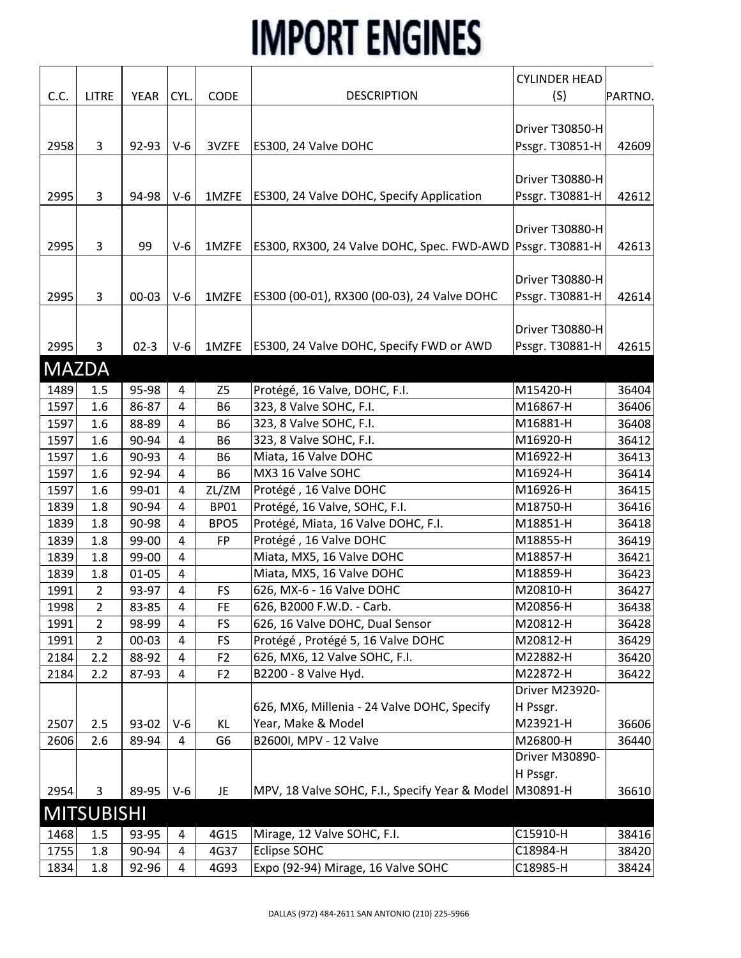|              |                   |           |                |                  |                                                         | <b>CYLINDER HEAD</b> |         |
|--------------|-------------------|-----------|----------------|------------------|---------------------------------------------------------|----------------------|---------|
| C.C.         | <b>LITRE</b>      | YEAR      | CYL.           | CODE             | <b>DESCRIPTION</b>                                      | (S)                  | PARTNO. |
|              |                   |           |                |                  |                                                         |                      |         |
|              |                   |           |                |                  |                                                         | Driver T30850-H      |         |
| 2958         | 3                 | 92-93     | $V-6$          | 3VZFE            | ES300, 24 Valve DOHC                                    | Pssgr. T30851-H      | 42609   |
|              |                   |           |                |                  |                                                         |                      |         |
|              |                   |           |                |                  |                                                         | Driver T30880-H      |         |
| 2995         | 3                 | 94-98     | $V-6$          | 1MZFE            | ES300, 24 Valve DOHC, Specify Application               | Pssgr. T30881-H      | 42612   |
|              |                   |           |                |                  |                                                         |                      |         |
|              |                   |           |                |                  |                                                         | Driver T30880-H      |         |
| 2995         | 3                 | 99        | $V-6$          | 1MZFE            | ES300, RX300, 24 Valve DOHC, Spec. FWD-AWD              | Pssgr. T30881-H      | 42613   |
|              |                   |           |                |                  |                                                         |                      |         |
|              |                   |           |                |                  |                                                         | Driver T30880-H      |         |
| 2995         | 3                 | $00 - 03$ | $V-6$          | 1MZFE            | ES300 (00-01), RX300 (00-03), 24 Valve DOHC             | Pssgr. T30881-H      | 42614   |
|              |                   |           |                |                  |                                                         |                      |         |
|              |                   |           |                |                  |                                                         | Driver T30880-H      |         |
| 2995         | 3                 | $02-3$    | $V-6$          | 1MZFE            | ES300, 24 Valve DOHC, Specify FWD or AWD                | Pssgr. T30881-H      | 42615   |
| <b>MAZDA</b> |                   |           |                |                  |                                                         |                      |         |
| 1489         | 1.5               | 95-98     | 4              | Z <sub>5</sub>   | Protégé, 16 Valve, DOHC, F.I.                           | M15420-H             | 36404   |
| 1597         | 1.6               | 86-87     | $\overline{4}$ | <b>B6</b>        | 323, 8 Valve SOHC, F.I.                                 | M16867-H             | 36406   |
| 1597         | 1.6               | 88-89     | $\overline{4}$ | B <sub>6</sub>   | 323, 8 Valve SOHC, F.I.                                 | M16881-H             | 36408   |
| 1597         | 1.6               | 90-94     | $\overline{4}$ | B <sub>6</sub>   | 323, 8 Valve SOHC, F.I.                                 | M16920-H             | 36412   |
| 1597         | 1.6               | 90-93     | 4              | <b>B6</b>        | Miata, 16 Valve DOHC                                    | M16922-H             | 36413   |
| 1597         | 1.6               | 92-94     | $\overline{4}$ | <b>B6</b>        | MX3 16 Valve SOHC                                       | M16924-H             | 36414   |
| 1597         | 1.6               | 99-01     | $\overline{4}$ | ZL/ZM            | Protégé, 16 Valve DOHC                                  | M16926-H             | 36415   |
| 1839         | 1.8               | 90-94     | $\overline{4}$ | <b>BP01</b>      | Protégé, 16 Valve, SOHC, F.I.                           | M18750-H             | 36416   |
| 1839         | 1.8               | 90-98     | $\overline{4}$ | BPO <sub>5</sub> | Protégé, Miata, 16 Valve DOHC, F.I.                     | M18851-H             | 36418   |
| 1839         | 1.8               | 99-00     | $\overline{4}$ | <b>FP</b>        | Protégé, 16 Valve DOHC                                  | M18855-H             | 36419   |
| 1839         | 1.8               | 99-00     | $\overline{4}$ |                  | Miata, MX5, 16 Valve DOHC                               | M18857-H             | 36421   |
| 1839         | 1.8               | $01 - 05$ | $\overline{4}$ |                  | Miata, MX5, 16 Valve DOHC                               | M18859-H             | 36423   |
| 1991         | $\overline{2}$    | 93-97     | $\overline{4}$ | <b>FS</b>        | 626, MX-6 - 16 Valve DOHC                               | M20810-H             | 36427   |
| 1998         | $\overline{2}$    | 83-85     | $\overline{a}$ | <b>FE</b>        | 626, B2000 F.W.D. - Carb.                               | M20856-H             | 36438   |
| 1991         | 2                 | 98-99     | 4              | FS               | 626, 16 Valve DOHC, Dual Sensor                         | M20812-H             | 36428   |
| 1991         | 2                 | 00-03     | $\overline{4}$ | <b>FS</b>        | Protégé, Protégé 5, 16 Valve DOHC                       | M20812-H             | 36429   |
| 2184         | 2.2               | 88-92     | $\overline{4}$ | F <sub>2</sub>   | 626, MX6, 12 Valve SOHC, F.I.                           | M22882-H             | 36420   |
| 2184         | 2.2               | 87-93     | 4              | F <sub>2</sub>   | B2200 - 8 Valve Hyd.                                    | M22872-H             | 36422   |
|              |                   |           |                |                  |                                                         | Driver M23920-       |         |
|              |                   |           |                |                  | 626, MX6, Millenia - 24 Valve DOHC, Specify             | H Pssgr.             |         |
| 2507         | 2.5               | 93-02     | $V-6$          | KL               | Year, Make & Model                                      | M23921-H             | 36606   |
| 2606         | 2.6               | 89-94     | 4              | G <sub>6</sub>   | B2600I, MPV - 12 Valve                                  | M26800-H             | 36440   |
|              |                   |           |                |                  |                                                         | Driver M30890-       |         |
|              |                   |           |                |                  |                                                         | H Pssgr.             |         |
| 2954         | 3                 | 89-95     | $V-6$          | JE.              | MPV, 18 Valve SOHC, F.I., Specify Year & Model M30891-H |                      | 36610   |
|              | <b>MITSUBISHI</b> |           |                |                  |                                                         |                      |         |
| 1468         | 1.5               | 93-95     | 4              | 4G15             | Mirage, 12 Valve SOHC, F.I.                             | C15910-H             | 38416   |
| 1755         | 1.8               | 90-94     | $\overline{4}$ | 4G37             | Eclipse SOHC                                            | C18984-H             | 38420   |
| 1834         | 1.8               | 92-96     | $\overline{4}$ | 4G93             | Expo (92-94) Mirage, 16 Valve SOHC                      | C18985-H             | 38424   |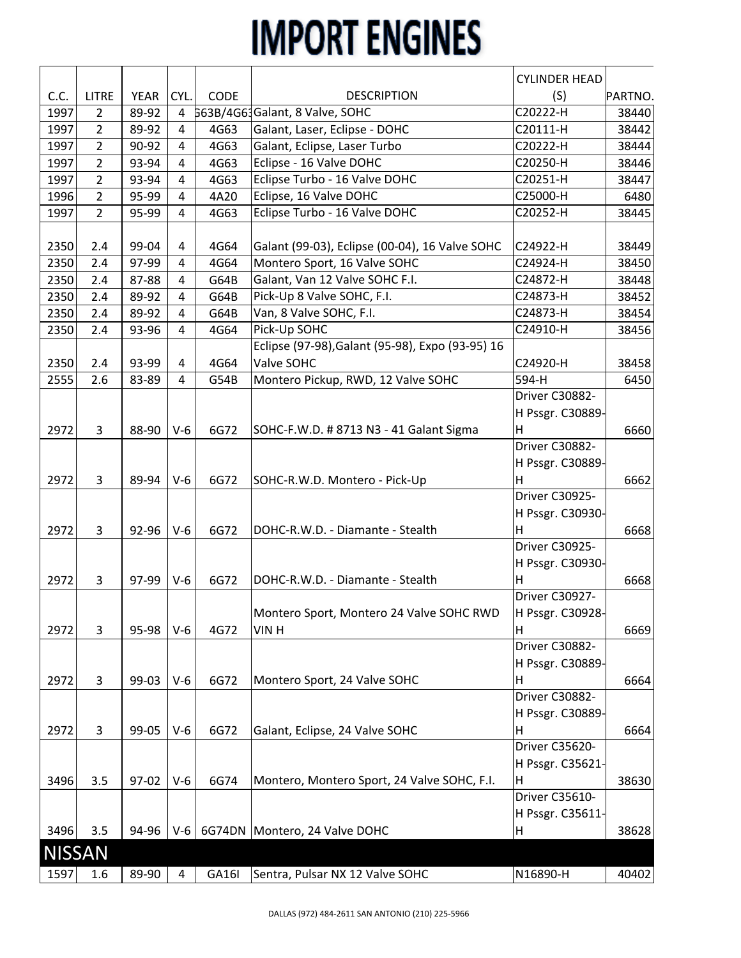|               |                |       |                |       |                                                  | <b>CYLINDER HEAD</b> |         |
|---------------|----------------|-------|----------------|-------|--------------------------------------------------|----------------------|---------|
| C.C.          | <b>LITRE</b>   | YEAR  | CYL.           | CODE  | <b>DESCRIPTION</b>                               | (S)                  | PARTNO. |
| 1997          | $\overline{2}$ | 89-92 | 4              |       | 663B/4G61Galant, 8 Valve, SOHC                   | C20222-H             | 38440   |
| 1997          | $\overline{2}$ | 89-92 | $\overline{4}$ | 4G63  | Galant, Laser, Eclipse - DOHC                    | C20111-H             | 38442   |
| 1997          | $\overline{2}$ | 90-92 | $\overline{4}$ | 4G63  | Galant, Eclipse, Laser Turbo                     | C20222-H             | 38444   |
| 1997          | $\overline{2}$ | 93-94 | 4              | 4G63  | Eclipse - 16 Valve DOHC                          | C20250-H             | 38446   |
| 1997          | 2              | 93-94 | $\overline{4}$ | 4G63  | Eclipse Turbo - 16 Valve DOHC                    | C20251-H             | 38447   |
| 1996          | $\overline{2}$ | 95-99 | 4              | 4A20  | Eclipse, 16 Valve DOHC                           | C25000-H             | 6480    |
| 1997          | $\overline{2}$ | 95-99 | $\overline{4}$ | 4G63  | Eclipse Turbo - 16 Valve DOHC                    | C20252-H             | 38445   |
|               |                |       |                |       |                                                  |                      |         |
| 2350          | 2.4            | 99-04 | 4              | 4G64  | Galant (99-03), Eclipse (00-04), 16 Valve SOHC   | C24922-H             | 38449   |
| 2350          | 2.4            | 97-99 | $\overline{4}$ | 4G64  | Montero Sport, 16 Valve SOHC                     | C24924-H             | 38450   |
| 2350          | 2.4            | 87-88 | 4              | G64B  | Galant, Van 12 Valve SOHC F.I.                   | C24872-H             | 38448   |
| 2350          | 2.4            | 89-92 | $\overline{4}$ | G64B  | Pick-Up 8 Valve SOHC, F.I.                       | C24873-H             | 38452   |
| 2350          | 2.4            | 89-92 | $\overline{4}$ | G64B  | Van, 8 Valve SOHC, F.I.                          | C24873-H             | 38454   |
| 2350          | 2.4            | 93-96 | $\overline{4}$ | 4G64  | Pick-Up SOHC                                     | C24910-H             | 38456   |
|               |                |       |                |       | Eclipse (97-98), Galant (95-98), Expo (93-95) 16 |                      |         |
| 2350          | 2.4            | 93-99 | 4              | 4G64  | Valve SOHC                                       | C24920-H             | 38458   |
| 2555          | 2.6            | 83-89 | $\overline{4}$ | G54B  | Montero Pickup, RWD, 12 Valve SOHC               | 594-H                | 6450    |
|               |                |       |                |       |                                                  | Driver C30882-       |         |
|               |                |       |                |       |                                                  | H Pssgr. C30889-     |         |
| 2972          | 3              | 88-90 | $V-6$          | 6G72  | SOHC-F.W.D. # 8713 N3 - 41 Galant Sigma          | H                    | 6660    |
|               |                |       |                |       |                                                  | Driver C30882-       |         |
|               |                |       |                |       |                                                  | H Pssgr. C30889-     |         |
| 2972          | 3              | 89-94 | $V-6$          | 6G72  | SOHC-R.W.D. Montero - Pick-Up                    | H                    | 6662    |
|               |                |       |                |       |                                                  | Driver C30925-       |         |
|               |                |       |                |       |                                                  | H Pssgr. C30930-     |         |
| 2972          | 3              | 92-96 | $V-6$          | 6G72  | DOHC-R.W.D. - Diamante - Stealth                 | н                    | 6668    |
|               |                |       |                |       |                                                  | Driver C30925-       |         |
|               |                |       |                |       |                                                  | H Pssgr. C30930-     |         |
| 2972          | 3              | 97-99 | $V-6$          | 6G72  | DOHC-R.W.D. - Diamante - Stealth                 | H                    | 6668    |
|               |                |       |                |       |                                                  | Driver C30927-       |         |
|               |                |       |                |       | Montero Sport, Montero 24 Valve SOHC RWD         | H Pssgr. C30928-     |         |
| 2972          | 3              | 95-98 | $V-6$          | 4G72  | VIN H                                            | н                    | 6669    |
|               |                |       |                |       |                                                  | Driver C30882-       |         |
|               |                |       |                |       |                                                  | H Pssgr. C30889-     |         |
| 2972          | 3              | 99-03 | $V-6$          | 6G72  | Montero Sport, 24 Valve SOHC                     | н                    | 6664    |
|               |                |       |                |       |                                                  | Driver C30882-       |         |
|               |                |       |                |       |                                                  | H Pssgr. C30889-     |         |
| 2972          | 3              | 99-05 | $V-6$          | 6G72  | Galant, Eclipse, 24 Valve SOHC                   | Н                    | 6664    |
|               |                |       |                |       |                                                  | Driver C35620-       |         |
|               |                |       |                |       |                                                  | H Pssgr. C35621-     |         |
| 3496          | 3.5            | 97-02 | $V-6$          | 6G74  | Montero, Montero Sport, 24 Valve SOHC, F.I.      | н                    | 38630   |
|               |                |       |                |       |                                                  | Driver C35610-       |         |
|               |                |       |                |       |                                                  | H Pssgr. C35611-     |         |
| 3496          | 3.5            | 94-96 |                |       | V-6   6G74DN   Montero, 24 Valve DOHC            | H                    | 38628   |
| <b>NISSAN</b> |                |       |                |       |                                                  |                      |         |
|               |                |       |                |       |                                                  |                      |         |
| 1597          | 1.6            | 89-90 | $\overline{4}$ | GA16I | Sentra, Pulsar NX 12 Valve SOHC                  | N16890-H             | 40402   |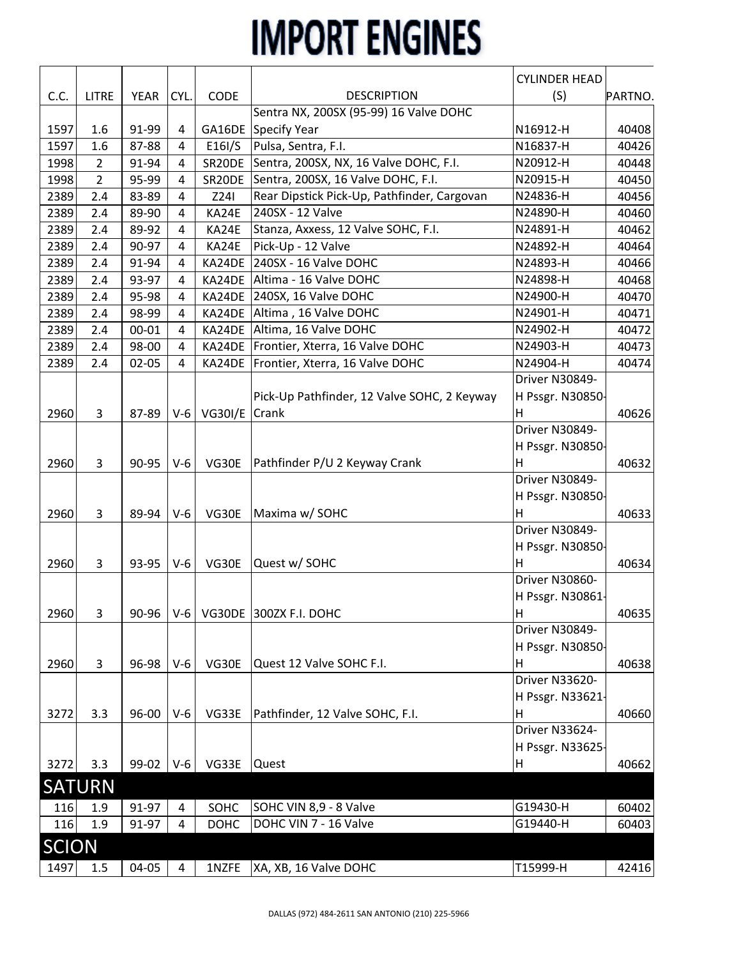|              |                |             |                |                |                                             | <b>CYLINDER HEAD</b> |         |
|--------------|----------------|-------------|----------------|----------------|---------------------------------------------|----------------------|---------|
| C.C.         | <b>LITRE</b>   | <b>YEAR</b> | CYL.           | CODE           | <b>DESCRIPTION</b>                          | (S)                  | PARTNO. |
|              |                |             |                |                | Sentra NX, 200SX (95-99) 16 Valve DOHC      |                      |         |
| 1597         | 1.6            | 91-99       | 4              | GA16DE         | Specify Year                                | N16912-H             | 40408   |
| 1597         | 1.6            | 87-88       | 4              | E16I/S         | Pulsa, Sentra, F.I.                         | N16837-H             | 40426   |
| 1998         | $\overline{2}$ | 91-94       | 4              | SR20DE         | Sentra, 200SX, NX, 16 Valve DOHC, F.I.      | N20912-H             | 40448   |
| 1998         | $\overline{2}$ | 95-99       | $\overline{4}$ | SR20DE         | Sentra, 200SX, 16 Valve DOHC, F.I.          | N20915-H             | 40450   |
| 2389         | 2.4            | 83-89       | $\overline{4}$ | Z241           | Rear Dipstick Pick-Up, Pathfinder, Cargovan | N24836-H             | 40456   |
| 2389         | 2.4            | 89-90       | 4              | KA24E          | 240SX - 12 Valve                            | N24890-H             | 40460   |
| 2389         | 2.4            | 89-92       | 4              | KA24E          | Stanza, Axxess, 12 Valve SOHC, F.I.         | N24891-H             | 40462   |
| 2389         | 2.4            | 90-97       | $\overline{4}$ | KA24E          | Pick-Up - 12 Valve                          | N24892-H             | 40464   |
| 2389         | 2.4            | 91-94       | 4              | KA24DE         | 240SX - 16 Valve DOHC                       | N24893-H             | 40466   |
| 2389         | 2.4            | 93-97       | 4              | KA24DE         | Altima - 16 Valve DOHC                      | N24898-H             | 40468   |
| 2389         | 2.4            | 95-98       | 4              | KA24DE         | 240SX, 16 Valve DOHC                        | N24900-H             | 40470   |
| 2389         | 2.4            | 98-99       | $\overline{4}$ | KA24DE         | Altima, 16 Valve DOHC                       | N24901-H             | 40471   |
| 2389         | 2.4            | $00 - 01$   | 4              | KA24DE         | Altima, 16 Valve DOHC                       | N24902-H             | 40472   |
| 2389         | 2.4            | 98-00       | 4              | KA24DE         | Frontier, Xterra, 16 Valve DOHC             | N24903-H             | 40473   |
| 2389         | 2.4            | $02 - 05$   | $\overline{4}$ | KA24DE         | Frontier, Xterra, 16 Valve DOHC             | N24904-H             | 40474   |
|              |                |             |                |                |                                             | Driver N30849-       |         |
|              |                |             |                |                | Pick-Up Pathfinder, 12 Valve SOHC, 2 Keyway | H Pssgr. N30850-     |         |
| 2960         | 3              | 87-89       | $V-6$          | <b>VG30I/E</b> | Crank                                       | н                    | 40626   |
|              |                |             |                |                |                                             | Driver N30849-       |         |
|              |                |             |                |                |                                             | H Pssgr. N30850-     |         |
| 2960         | 3              | 90-95       | $V-6$          | VG30E          | Pathfinder P/U 2 Keyway Crank               | н                    | 40632   |
|              |                |             |                |                |                                             | Driver N30849-       |         |
|              |                |             |                |                |                                             | H Pssgr. N30850-     |         |
| 2960         | 3              | 89-94       | $V-6$          | VG30E          | Maxima w/ SOHC                              | н                    | 40633   |
|              |                |             |                |                |                                             | Driver N30849-       |         |
|              |                |             |                |                |                                             | H Pssgr. N30850-     |         |
| 2960         | 3              | 93-95       | $V-6$          | VG30E          | Quest w/ SOHC                               | H                    | 40634   |
|              |                |             |                |                |                                             | Driver N30860-       |         |
|              |                |             |                |                |                                             | H Pssgr. N30861-     |         |
| 2960         | 3              | 90-96       | $V-6$          |                | VG30DE 300ZX F.I. DOHC                      | н                    | 40635   |
|              |                |             |                |                |                                             | Driver N30849-       |         |
|              |                |             |                |                |                                             | H Pssgr. N30850-     |         |
| 2960         | 3              | 96-98       | $V-6$          | VG30E          | Quest 12 Valve SOHC F.I.                    | н                    | 40638   |
|              |                |             |                |                |                                             | Driver N33620-       |         |
|              |                |             |                |                |                                             | H Pssgr. N33621-     |         |
| 3272         | 3.3            | 96-00       | $V-6$          | VG33E          | Pathfinder, 12 Valve SOHC, F.I.             | н                    | 40660   |
|              |                |             |                |                |                                             | Driver N33624-       |         |
|              |                |             |                |                |                                             | H Pssgr. N33625-     |         |
| 3272         | 3.3            | 99-02       | $V-6$          | VG33E          | Quest                                       | н                    | 40662   |
|              | <b>SATURN</b>  |             |                |                |                                             |                      |         |
| 116          | 1.9            | 91-97       | 4              | SOHC           | SOHC VIN 8,9 - 8 Valve                      | G19430-H             | 60402   |
| 116          | 1.9            | 91-97       | 4              | <b>DOHC</b>    | DOHC VIN 7 - 16 Valve                       | G19440-H             | 60403   |
|              |                |             |                |                |                                             |                      |         |
| <b>SCION</b> |                |             |                |                |                                             |                      |         |
| 1497         | 1.5            | 04-05       | 4              | 1NZFE          | XA, XB, 16 Valve DOHC                       | T15999-H             | 42416   |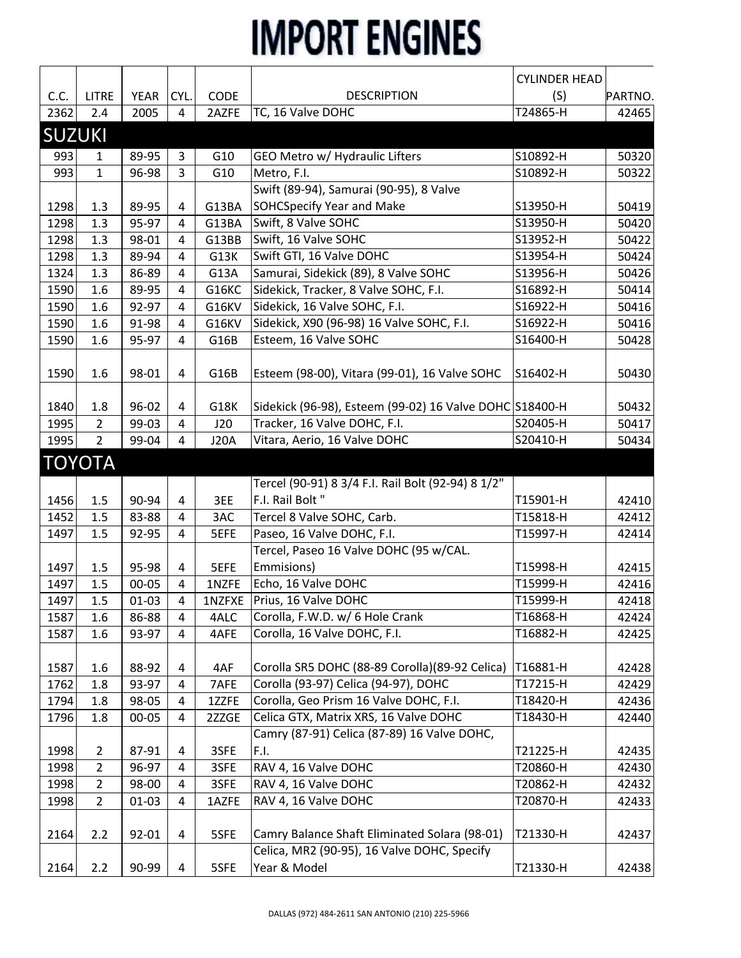|               |                |             |                |             |                                                         | <b>CYLINDER HEAD</b> |         |
|---------------|----------------|-------------|----------------|-------------|---------------------------------------------------------|----------------------|---------|
| C.C.          | <b>LITRE</b>   | <b>YEAR</b> | CYL.           | CODE        | <b>DESCRIPTION</b>                                      | (S)                  | PARTNO. |
| 2362          | 2.4            | 2005        | 4              | 2AZFE       | TC, 16 Valve DOHC                                       | T24865-H             | 42465   |
| <b>SUZUKI</b> |                |             |                |             |                                                         |                      |         |
| 993           | 1              | 89-95       | 3              | G10         | GEO Metro w/ Hydraulic Lifters                          | S10892-H             | 50320   |
| 993           | $\mathbf{1}$   | 96-98       | 3              | G10         | Metro, F.I.                                             | S10892-H             | 50322   |
|               |                |             |                |             | Swift (89-94), Samurai (90-95), 8 Valve                 |                      |         |
| 1298          | 1.3            | 89-95       | 4              | G13BA       | <b>SOHCSpecify Year and Make</b>                        | S13950-H             | 50419   |
| 1298          | 1.3            | 95-97       | 4              | G13BA       | Swift, 8 Valve SOHC                                     | S13950-H             | 50420   |
| 1298          | 1.3            | 98-01       | 4              | G13BB       | Swift, 16 Valve SOHC                                    | S13952-H             | 50422   |
| 1298          | 1.3            | 89-94       | $\overline{4}$ | G13K        | Swift GTI, 16 Valve DOHC                                | S13954-H             | 50424   |
| 1324          | 1.3            | 86-89       | 4              | G13A        | Samurai, Sidekick (89), 8 Valve SOHC                    | S13956-H             | 50426   |
| 1590          | 1.6            | 89-95       | $\overline{4}$ | G16KC       | Sidekick, Tracker, 8 Valve SOHC, F.I.                   | S16892-H             | 50414   |
| 1590          | 1.6            | 92-97       | 4              | G16KV       | Sidekick, 16 Valve SOHC, F.I.                           | S16922-H             | 50416   |
| 1590          | 1.6            | 91-98       | $\overline{4}$ | G16KV       | Sidekick, X90 (96-98) 16 Valve SOHC, F.I.               | S16922-H             | 50416   |
| 1590          | 1.6            | 95-97       | $\overline{4}$ | G16B        | Esteem, 16 Valve SOHC                                   | S16400-H             | 50428   |
| 1590          | 1.6            | 98-01       | 4              | G16B        | Esteem (98-00), Vitara (99-01), 16 Valve SOHC           | S16402-H             | 50430   |
| 1840          | 1.8            | 96-02       | 4              | G18K        | Sidekick (96-98), Esteem (99-02) 16 Valve DOHC S18400-H |                      | 50432   |
| 1995          | $\overline{2}$ | 99-03       | 4              | J20         | Tracker, 16 Valve DOHC, F.I.                            | S20405-H             | 50417   |
| 1995          | 2              | 99-04       | 4              | <b>J20A</b> | Vitara, Aerio, 16 Valve DOHC                            | S20410-H             | 50434   |
|               | <b>TOYOTA</b>  |             |                |             |                                                         |                      |         |
|               |                |             |                |             | Tercel (90-91) 8 3/4 F.I. Rail Bolt (92-94) 8 1/2"      |                      |         |
| 1456          | 1.5            | 90-94       | 4              | 3EE         | F.I. Rail Bolt "                                        | T15901-H             | 42410   |
| 1452          | 1.5            | 83-88       | 4              | 3AC         | Tercel 8 Valve SOHC, Carb.                              | T15818-H             | 42412   |
| 1497          | 1.5            | 92-95       | $\overline{4}$ | 5EFE        | Paseo, 16 Valve DOHC, F.I.                              | T15997-H             | 42414   |
|               |                |             |                |             | Tercel, Paseo 16 Valve DOHC (95 w/CAL.                  |                      |         |
| 1497          | 1.5            | 95-98       | 4              | 5EFE        | Emmisions)                                              | T15998-H             | 42415   |
| 1497          | 1.5            | 00-05       | 4              | 1NZFE       | Echo, 16 Valve DOHC                                     | T15999-H             | 42416   |
| 1497          | 1.5            | $01 - 03$   | 4              | 1NZFXE      | Prius, 16 Valve DOHC                                    | T15999-H             | 42418   |
| 1587          | 1.6            | 86-88       | 4              | 4ALC        | Corolla, F.W.D. w/ 6 Hole Crank                         | T16868-H             | 42424   |
| 1587          | 1.6            | 93-97       | 4              | 4AFE        | Corolla, 16 Valve DOHC, F.I.                            | T16882-H             | 42425   |
|               |                |             |                |             |                                                         |                      |         |
| 1587          | 1.6            | 88-92       | 4              | 4AF         | Corolla SR5 DOHC (88-89 Corolla) (89-92 Celica)         | T16881-H             | 42428   |
| 1762          | 1.8            | 93-97       | 4              | 7AFE        | Corolla (93-97) Celica (94-97), DOHC                    | T17215-H             | 42429   |
| 1794          | 1.8            | 98-05       | $\overline{4}$ | 1ZZFE       | Corolla, Geo Prism 16 Valve DOHC, F.I.                  | T18420-H             | 42436   |
| 1796          | 1.8            | $00 - 05$   | 4              | 2ZZGE       | Celica GTX, Matrix XRS, 16 Valve DOHC                   | T18430-H             | 42440   |
|               |                |             |                |             | Camry (87-91) Celica (87-89) 16 Valve DOHC,             |                      |         |
| 1998          | $\overline{2}$ | 87-91       | 4              | 3SFE        | F.I.                                                    | T21225-H             | 42435   |
| 1998          | $\overline{2}$ | 96-97       | 4              | 3SFE        | RAV 4, 16 Valve DOHC                                    | T20860-H             | 42430   |
| 1998          | $\overline{2}$ | 98-00       | 4              | 3SFE        | RAV 4, 16 Valve DOHC                                    | T20862-H             | 42432   |
| 1998          | $\overline{2}$ | $01 - 03$   | 4              | 1AZFE       | RAV 4, 16 Valve DOHC                                    | T20870-H             | 42433   |
|               |                |             |                |             |                                                         |                      |         |
| 2164          | 2.2            | 92-01       | 4              | 5SFE        | Camry Balance Shaft Eliminated Solara (98-01)           | T21330-H             | 42437   |
|               |                |             |                |             | Celica, MR2 (90-95), 16 Valve DOHC, Specify             |                      |         |
| 2164          | 2.2            | 90-99       | 4              | 5SFE        | Year & Model                                            | T21330-H             | 42438   |